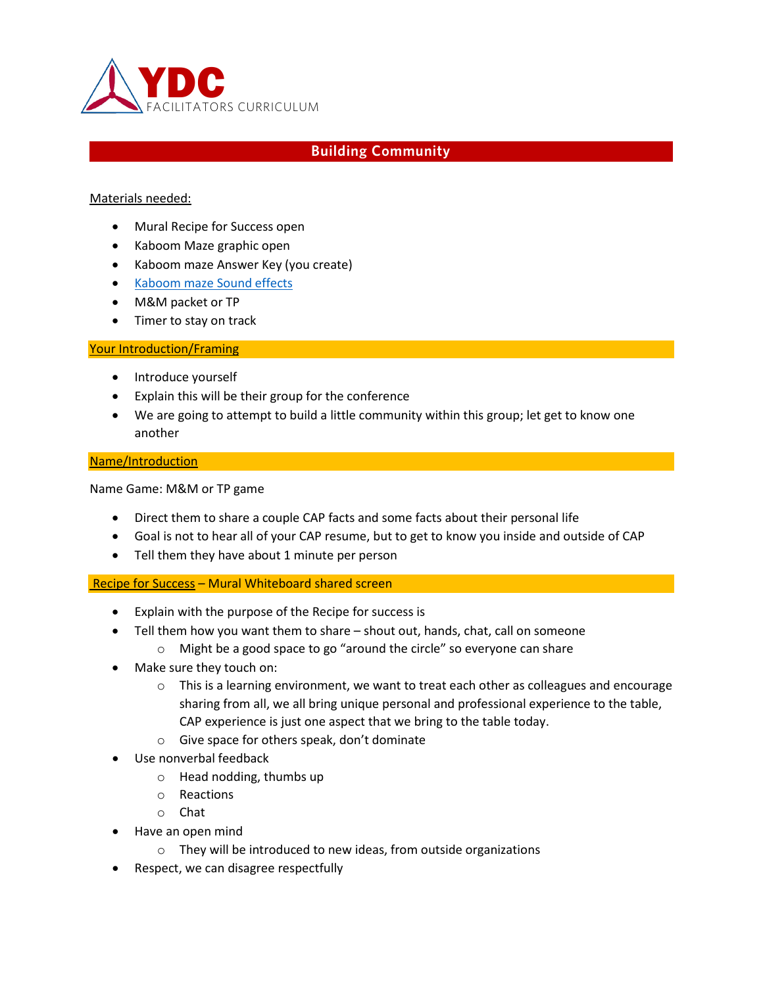

# **Building Community**

# Materials needed:

- Mural Recipe for Success open
- Kaboom Maze graphic open
- Kaboom maze Answer Key (you create)
- [Kaboom maze Sound effects](https://www.myinstants.com/search/?name=kaboom)
- M&M packet or TP
- Timer to stay on track

## Your Introduction/Framing

- Introduce yourself
- Explain this will be their group for the conference
- We are going to attempt to build a little community within this group; let get to know one another

## Name/Introduction

Name Game: M&M or TP game

- Direct them to share a couple CAP facts and some facts about their personal life
- Goal is not to hear all of your CAP resume, but to get to know you inside and outside of CAP
- Tell them they have about 1 minute per person

## Recipe for Success – Mural Whiteboard shared screen

- Explain with the purpose of the Recipe for success is
- Tell them how you want them to share shout out, hands, chat, call on someone
	- o Might be a good space to go "around the circle" so everyone can share
- Make sure they touch on:
	- $\circ$  This is a learning environment, we want to treat each other as colleagues and encourage sharing from all, we all bring unique personal and professional experience to the table, CAP experience is just one aspect that we bring to the table today.
	- o Give space for others speak, don't dominate
- Use nonverbal feedback
	- o Head nodding, thumbs up
	- o Reactions
	- o Chat
- Have an open mind
	- o They will be introduced to new ideas, from outside organizations
- Respect, we can disagree respectfully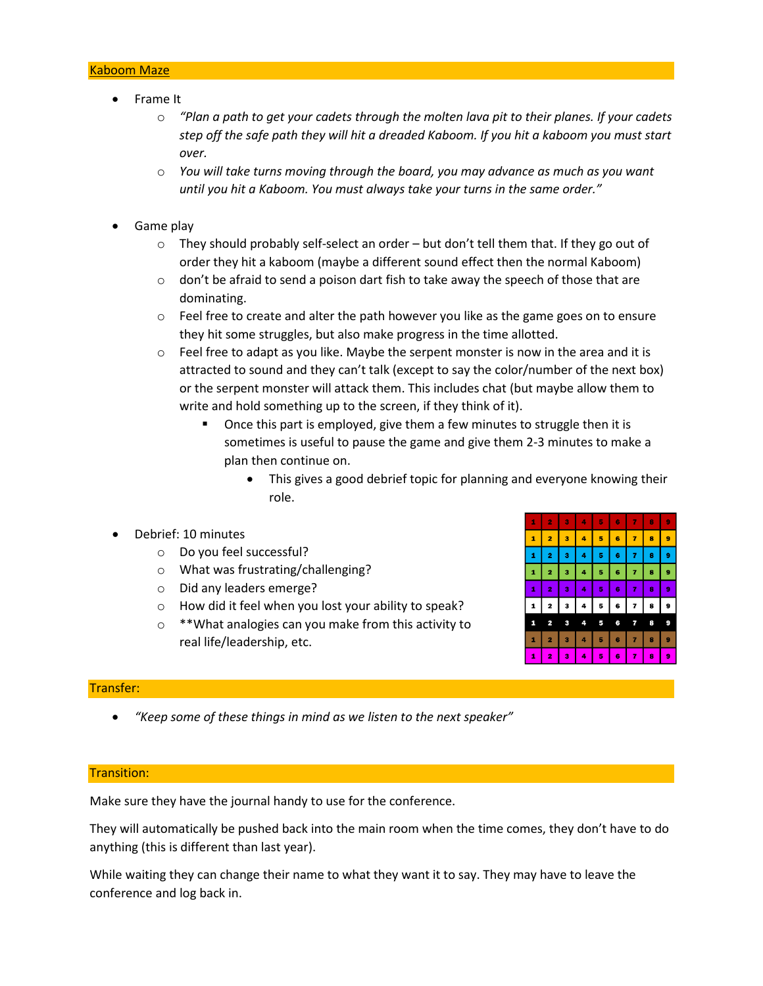## Kaboom Maze

- Frame It
	- o *"Plan a path to get your cadets through the molten lava pit to their planes. If your cadets step off the safe path they will hit a dreaded Kaboom. If you hit a kaboom you must start over.*
	- o *You will take turns moving through the board, you may advance as much as you want until you hit a Kaboom. You must always take your turns in the same order."*
- Game play
	- $\circ$  They should probably self-select an order but don't tell them that. If they go out of order they hit a kaboom (maybe a different sound effect then the normal Kaboom)
	- $\circ$  don't be afraid to send a poison dart fish to take away the speech of those that are dominating.
	- $\circ$  Feel free to create and alter the path however you like as the game goes on to ensure they hit some struggles, but also make progress in the time allotted.
	- $\circ$  Feel free to adapt as you like. Maybe the serpent monster is now in the area and it is attracted to sound and they can't talk (except to say the color/number of the next box) or the serpent monster will attack them. This includes chat (but maybe allow them to write and hold something up to the screen, if they think of it).
		- Once this part is employed, give them a few minutes to struggle then it is sometimes is useful to pause the game and give them 2-3 minutes to make a plan then continue on.
			- This gives a good debrief topic for planning and everyone knowing their role.
- Debrief: 10 minutes
	- o Do you feel successful?
	- o What was frustrating/challenging?
	- o Did any leaders emerge?
	- o How did it feel when you lost your ability to speak?
	- o \*\*What analogies can you make from this activity to real life/leadership, etc.



## Transfer:

• *"Keep some of these things in mind as we listen to the next speaker"*

## Transition:

Make sure they have the journal handy to use for the conference.

They will automatically be pushed back into the main room when the time comes, they don't have to do anything (this is different than last year).

While waiting they can change their name to what they want it to say. They may have to leave the conference and log back in.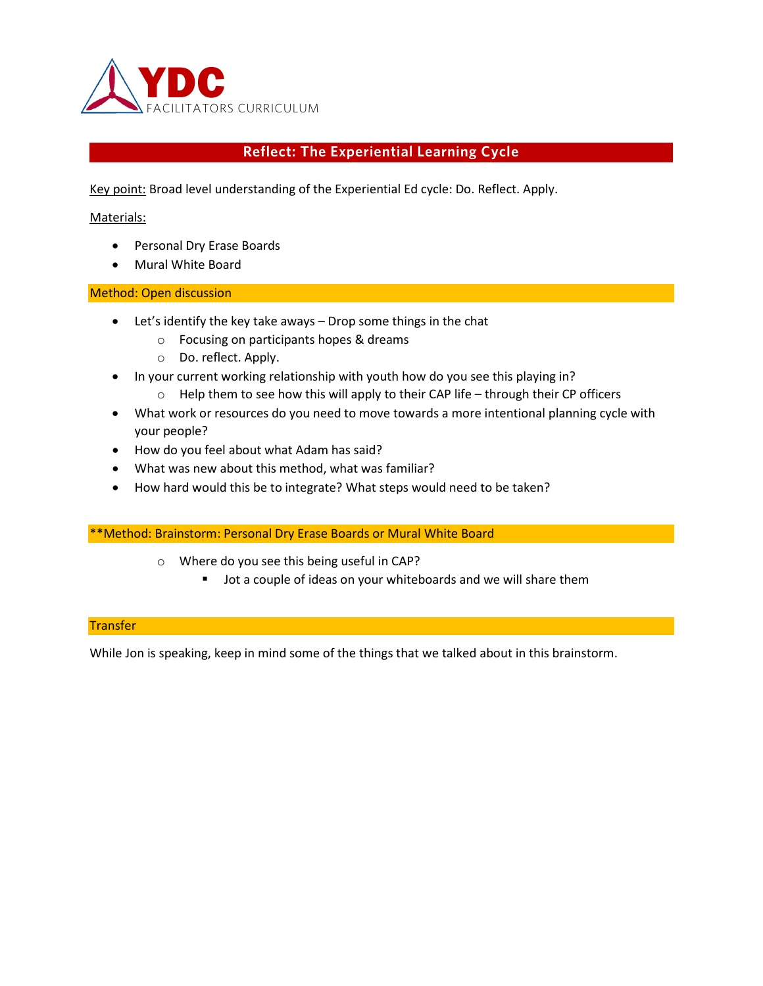

# **Reflect: The Experiential Learning Cycle**

Key point: Broad level understanding of the Experiential Ed cycle: Do. Reflect. Apply.

# Materials:

- Personal Dry Erase Boards
- Mural White Board

## Method: Open discussion

- Let's identify the key take aways Drop some things in the chat
	- o Focusing on participants hopes & dreams
	- o Do. reflect. Apply.
- In your current working relationship with youth how do you see this playing in?
	- $\circ$  Help them to see how this will apply to their CAP life through their CP officers
- What work or resources do you need to move towards a more intentional planning cycle with your people?
- How do you feel about what Adam has said?
- What was new about this method, what was familiar?
- How hard would this be to integrate? What steps would need to be taken?

## \*\*Method: Brainstorm: Personal Dry Erase Boards or Mural White Board

- o Where do you see this being useful in CAP?
	- **Jot a couple of ideas on your whiteboards and we will share them**

# **Transfer**

While Jon is speaking, keep in mind some of the things that we talked about in this brainstorm.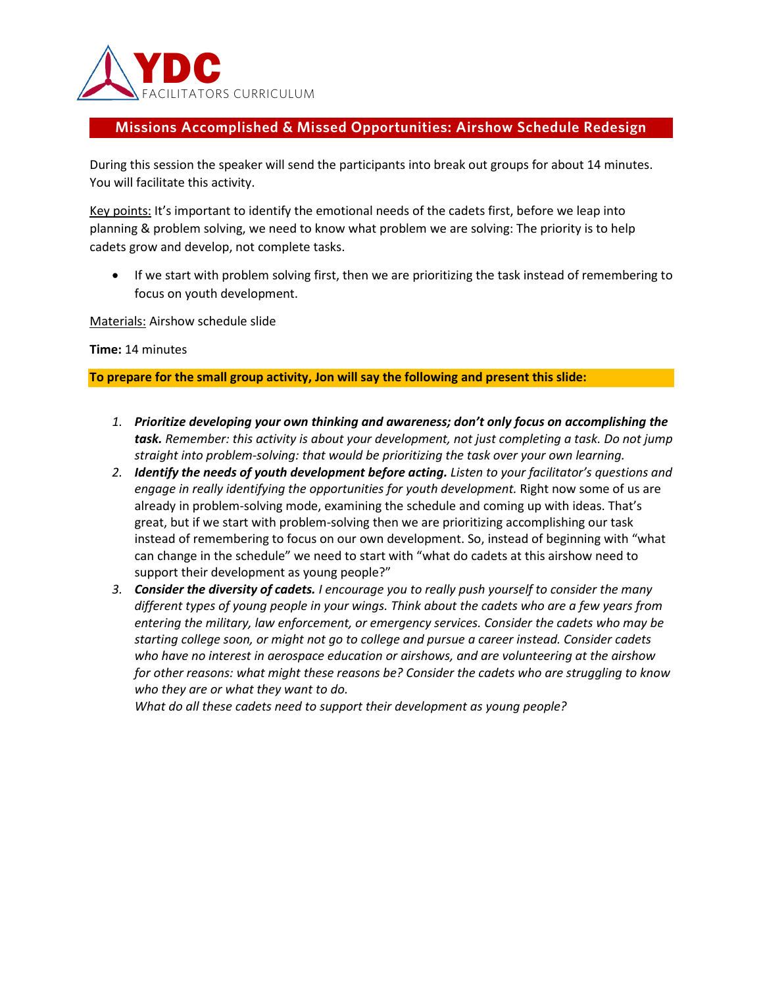

# **Missions Accomplished & Missed Opportunities: Airshow Schedule Redesign**

During this session the speaker will send the participants into break out groups for about 14 minutes. You will facilitate this activity.

Key points: It's important to identify the emotional needs of the cadets first, before we leap into planning & problem solving, we need to know what problem we are solving: The priority is to help cadets grow and develop, not complete tasks.

• If we start with problem solving first, then we are prioritizing the task instead of remembering to focus on youth development.

Materials: Airshow schedule slide

**Time:** 14 minutes

**To prepare for the small group activity, Jon will say the following and present this slide:**

- *1. Prioritize developing your own thinking and awareness; don't only focus on accomplishing the task. Remember: this activity is about your development, not just completing a task. Do not jump straight into problem-solving: that would be prioritizing the task over your own learning.*
- *2. Identify the needs of youth development before acting. Listen to your facilitator's questions and engage in really identifying the opportunities for youth development.* Right now some of us are already in problem-solving mode, examining the schedule and coming up with ideas. That's great, but if we start with problem-solving then we are prioritizing accomplishing our task instead of remembering to focus on our own development. So, instead of beginning with "what can change in the schedule" we need to start with "what do cadets at this airshow need to support their development as young people?"
- *3. Consider the diversity of cadets. I encourage you to really push yourself to consider the many different types of young people in your wings. Think about the cadets who are a few years from entering the military, law enforcement, or emergency services. Consider the cadets who may be starting college soon, or might not go to college and pursue a career instead. Consider cadets who have no interest in aerospace education or airshows, and are volunteering at the airshow for other reasons: what might these reasons be? Consider the cadets who are struggling to know who they are or what they want to do.*

*What do all these cadets need to support their development as young people?*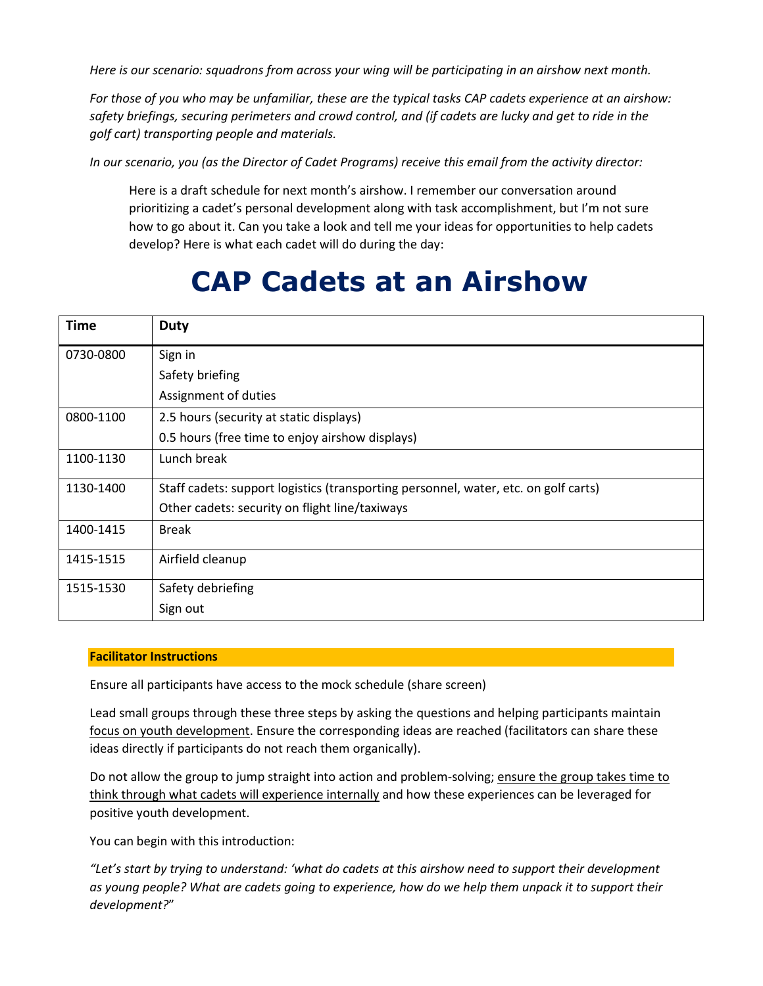*Here is our scenario: squadrons from across your wing will be participating in an airshow next month.*

*For those of you who may be unfamiliar, these are the typical tasks CAP cadets experience at an airshow: safety briefings, securing perimeters and crowd control, and (if cadets are lucky and get to ride in the golf cart) transporting people and materials.*

*In our scenario, you (as the Director of Cadet Programs) receive this email from the activity director:*

Here is a draft schedule for next month's airshow. I remember our conversation around prioritizing a cadet's personal development along with task accomplishment, but I'm not sure how to go about it. Can you take a look and tell me your ideas for opportunities to help cadets develop? Here is what each cadet will do during the day:

# **CAP Cadets at an Airshow**

| <b>Time</b> | Duty                                                                                |
|-------------|-------------------------------------------------------------------------------------|
| 0730-0800   | Sign in                                                                             |
|             | Safety briefing                                                                     |
|             | Assignment of duties                                                                |
| 0800-1100   | 2.5 hours (security at static displays)                                             |
|             | 0.5 hours (free time to enjoy airshow displays)                                     |
| 1100-1130   | Lunch break                                                                         |
| 1130-1400   | Staff cadets: support logistics (transporting personnel, water, etc. on golf carts) |
|             | Other cadets: security on flight line/taxiways                                      |
| 1400-1415   | <b>Break</b>                                                                        |
| 1415-1515   | Airfield cleanup                                                                    |
| 1515-1530   | Safety debriefing                                                                   |
|             | Sign out                                                                            |

## **Facilitator Instructions**

Ensure all participants have access to the mock schedule (share screen)

Lead small groups through these three steps by asking the questions and helping participants maintain focus on youth development. Ensure the corresponding ideas are reached (facilitators can share these ideas directly if participants do not reach them organically).

Do not allow the group to jump straight into action and problem-solving; ensure the group takes time to think through what cadets will experience internally and how these experiences can be leveraged for positive youth development.

You can begin with this introduction:

*"Let's start by trying to understand: 'what do cadets at this airshow need to support their development as young people? What are cadets going to experience, how do we help them unpack it to support their development?*"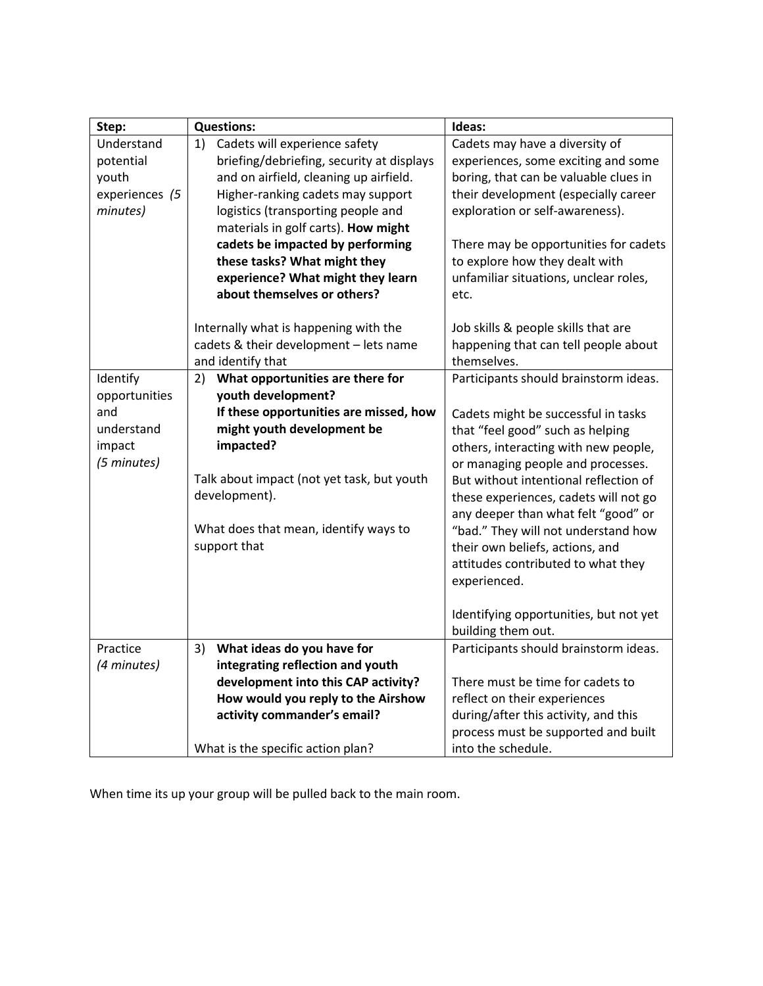| Step:          | <b>Questions:</b>                          | Ideas:                                 |
|----------------|--------------------------------------------|----------------------------------------|
| Understand     | Cadets will experience safety<br>1)        | Cadets may have a diversity of         |
| potential      | briefing/debriefing, security at displays  | experiences, some exciting and some    |
| youth          | and on airfield, cleaning up airfield.     | boring, that can be valuable clues in  |
| experiences (5 | Higher-ranking cadets may support          | their development (especially career   |
| minutes)       | logistics (transporting people and         | exploration or self-awareness).        |
|                | materials in golf carts). How might        |                                        |
|                | cadets be impacted by performing           | There may be opportunities for cadets  |
|                | these tasks? What might they               | to explore how they dealt with         |
|                | experience? What might they learn          | unfamiliar situations, unclear roles,  |
|                | about themselves or others?                | etc.                                   |
|                |                                            |                                        |
|                | Internally what is happening with the      | Job skills & people skills that are    |
|                | cadets & their development - lets name     | happening that can tell people about   |
|                | and identify that                          | themselves.                            |
| Identify       | What opportunities are there for<br>2)     | Participants should brainstorm ideas.  |
| opportunities  | youth development?                         |                                        |
| and            | If these opportunities are missed, how     | Cadets might be successful in tasks    |
| understand     | might youth development be                 | that "feel good" such as helping       |
| impact         | impacted?                                  | others, interacting with new people,   |
| (5 minutes)    |                                            | or managing people and processes.      |
|                | Talk about impact (not yet task, but youth | But without intentional reflection of  |
|                | development).                              | these experiences, cadets will not go  |
|                |                                            | any deeper than what felt "good" or    |
|                | What does that mean, identify ways to      | "bad." They will not understand how    |
|                | support that                               | their own beliefs, actions, and        |
|                |                                            | attitudes contributed to what they     |
|                |                                            | experienced.                           |
|                |                                            |                                        |
|                |                                            | Identifying opportunities, but not yet |
|                |                                            | building them out.                     |
| Practice       | What ideas do you have for<br>3)           | Participants should brainstorm ideas.  |
| (4 minutes)    | integrating reflection and youth           |                                        |
|                | development into this CAP activity?        | There must be time for cadets to       |
|                | How would you reply to the Airshow         | reflect on their experiences           |
|                | activity commander's email?                | during/after this activity, and this   |
|                |                                            | process must be supported and built    |
|                | What is the specific action plan?          | into the schedule.                     |

When time its up your group will be pulled back to the main room.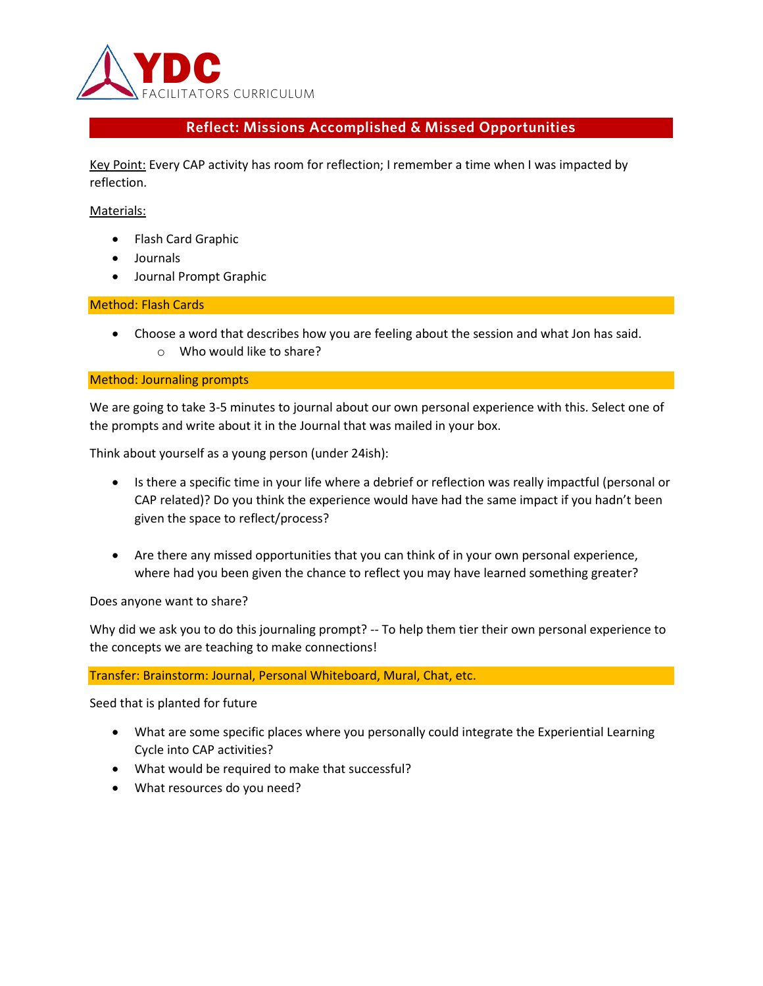

# **Reflect: Missions Accomplished & Missed Opportunities**

Key Point: Every CAP activity has room for reflection; I remember a time when I was impacted by reflection.

## Materials:

- Flash Card Graphic
- Journals
- Journal Prompt Graphic

# Method: Flash Cards

• Choose a word that describes how you are feeling about the session and what Jon has said. o Who would like to share?

## Method: Journaling prompts

We are going to take 3-5 minutes to journal about our own personal experience with this. Select one of the prompts and write about it in the Journal that was mailed in your box.

Think about yourself as a young person (under 24ish):

- Is there a specific time in your life where a debrief or reflection was really impactful (personal or CAP related)? Do you think the experience would have had the same impact if you hadn't been given the space to reflect/process?
- Are there any missed opportunities that you can think of in your own personal experience, where had you been given the chance to reflect you may have learned something greater?

Does anyone want to share?

Why did we ask you to do this journaling prompt? -- To help them tier their own personal experience to the concepts we are teaching to make connections!

## Transfer: Brainstorm: Journal, Personal Whiteboard, Mural, Chat, etc.

Seed that is planted for future

- What are some specific places where you personally could integrate the Experiential Learning Cycle into CAP activities?
- What would be required to make that successful?
- What resources do you need?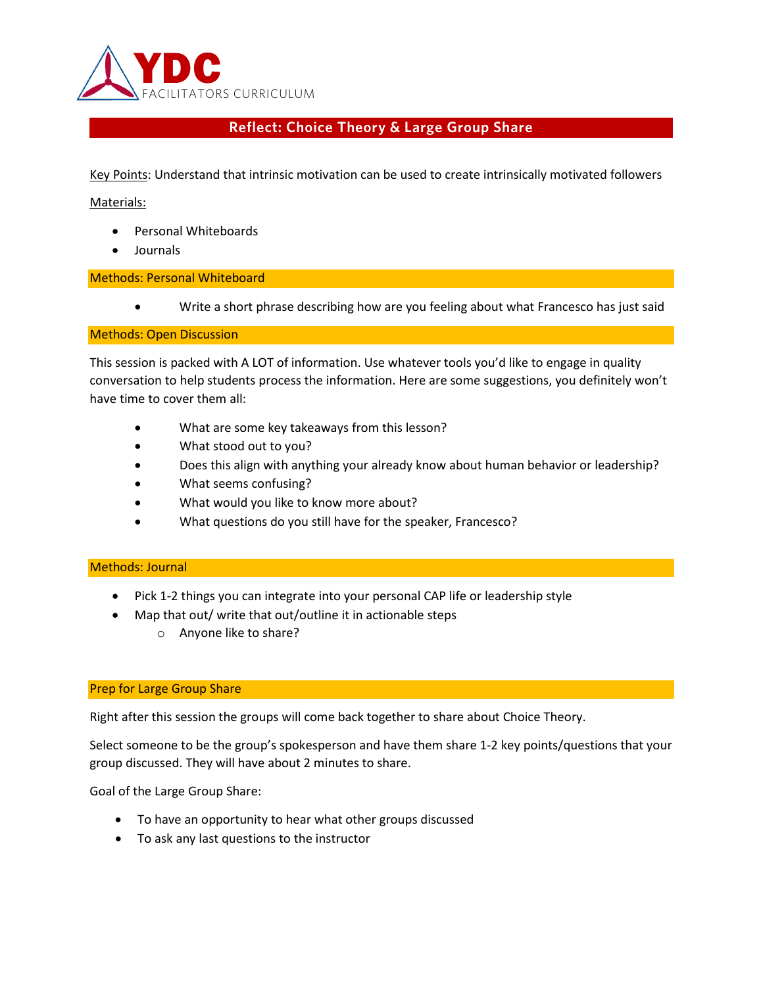

# **Reflect: Choice Theory & Large Group Share**

Key Points: Understand that intrinsic motivation can be used to create intrinsically motivated followers

Materials:

- Personal Whiteboards
- Journals

## Methods: Personal Whiteboard

• Write a short phrase describing how are you feeling about what Francesco has just said

#### Methods: Open Discussion

This session is packed with A LOT of information. Use whatever tools you'd like to engage in quality conversation to help students process the information. Here are some suggestions, you definitely won't have time to cover them all:

- What are some key takeaways from this lesson?
- What stood out to you?
- Does this align with anything your already know about human behavior or leadership?
- What seems confusing?
- What would you like to know more about?
- What questions do you still have for the speaker, Francesco?

## Methods: Journal

- Pick 1-2 things you can integrate into your personal CAP life or leadership style
- Map that out/ write that out/outline it in actionable steps
	- o Anyone like to share?

## Prep for Large Group Share

Right after this session the groups will come back together to share about Choice Theory.

Select someone to be the group's spokesperson and have them share 1-2 key points/questions that your group discussed. They will have about 2 minutes to share.

Goal of the Large Group Share:

- To have an opportunity to hear what other groups discussed
- To ask any last questions to the instructor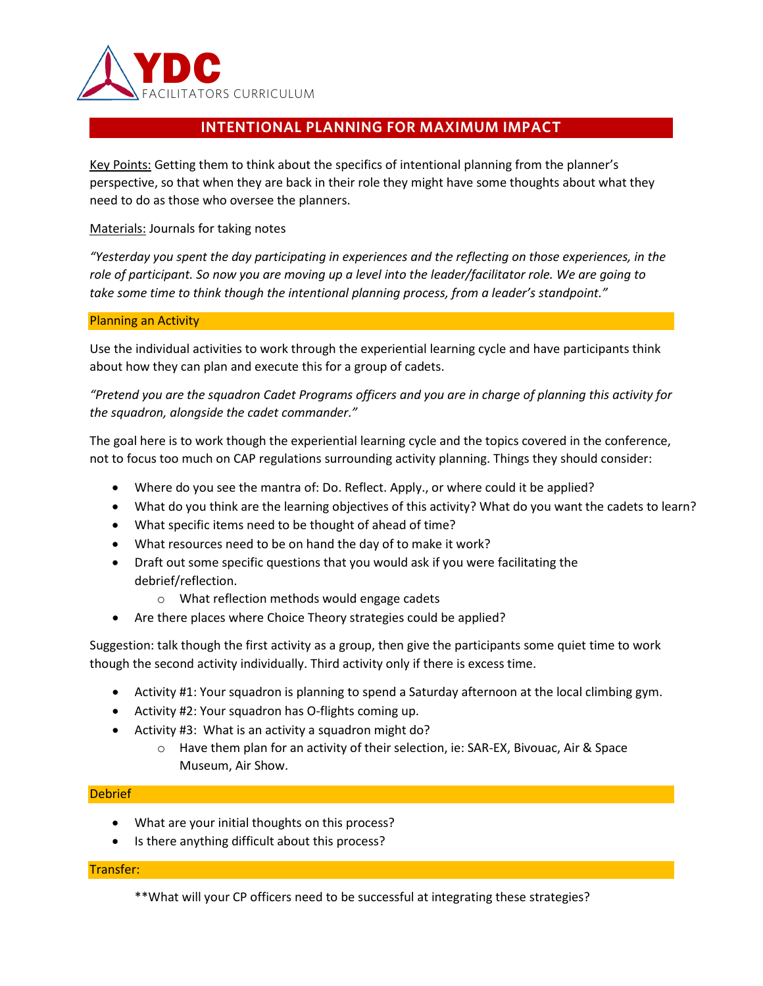

# **INTENTIONAL PLANNING FOR MAXIMUM IMPACT**

Key Points: Getting them to think about the specifics of intentional planning from the planner's perspective, so that when they are back in their role they might have some thoughts about what they need to do as those who oversee the planners.

Materials: Journals for taking notes

*"Yesterday you spent the day participating in experiences and the reflecting on those experiences, in the role of participant. So now you are moving up a level into the leader/facilitator role. We are going to take some time to think though the intentional planning process, from a leader's standpoint."*

## Planning an Activity

Use the individual activities to work through the experiential learning cycle and have participants think about how they can plan and execute this for a group of cadets.

*"Pretend you are the squadron Cadet Programs officers and you are in charge of planning this activity for the squadron, alongside the cadet commander."*

The goal here is to work though the experiential learning cycle and the topics covered in the conference, not to focus too much on CAP regulations surrounding activity planning. Things they should consider:

- Where do you see the mantra of: Do. Reflect. Apply., or where could it be applied?
- What do you think are the learning objectives of this activity? What do you want the cadets to learn?
- What specific items need to be thought of ahead of time?
- What resources need to be on hand the day of to make it work?
- Draft out some specific questions that you would ask if you were facilitating the debrief/reflection.
	- o What reflection methods would engage cadets
- Are there places where Choice Theory strategies could be applied?

Suggestion: talk though the first activity as a group, then give the participants some quiet time to work though the second activity individually. Third activity only if there is excess time.

- Activity #1: Your squadron is planning to spend a Saturday afternoon at the local climbing gym.
- Activity #2: Your squadron has O-flights coming up.
- Activity #3: What is an activity a squadron might do?
	- $\circ$  Have them plan for an activity of their selection, ie: SAR-EX, Bivouac, Air & Space Museum, Air Show.

## Debrief

- What are your initial thoughts on this process?
- Is there anything difficult about this process?

# Transfer:

\*\*What will your CP officers need to be successful at integrating these strategies?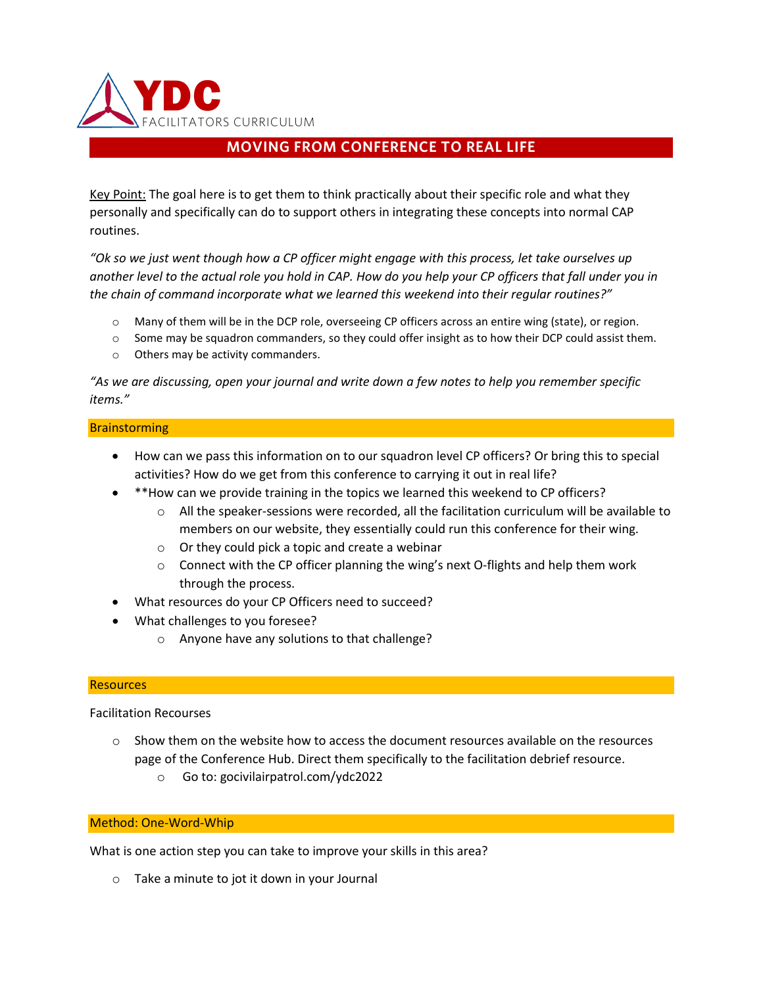

# **MOVING FROM CONFERENCE TO REAL LIFE**

Key Point: The goal here is to get them to think practically about their specific role and what they personally and specifically can do to support others in integrating these concepts into normal CAP routines.

*"Ok so we just went though how a CP officer might engage with this process, let take ourselves up another level to the actual role you hold in CAP. How do you help your CP officers that fall under you in the chain of command incorporate what we learned this weekend into their regular routines?"*

- o Many of them will be in the DCP role, overseeing CP officers across an entire wing (state), or region.
- $\circ$  Some may be squadron commanders, so they could offer insight as to how their DCP could assist them.
- o Others may be activity commanders.

*"As we are discussing, open your journal and write down a few notes to help you remember specific items."*

## **Brainstorming**

- How can we pass this information on to our squadron level CP officers? Or bring this to special activities? How do we get from this conference to carrying it out in real life?
- \*\*How can we provide training in the topics we learned this weekend to CP officers?
	- $\circ$  All the speaker-sessions were recorded, all the facilitation curriculum will be available to members on our website, they essentially could run this conference for their wing.
	- o Or they could pick a topic and create a webinar
	- $\circ$  Connect with the CP officer planning the wing's next O-flights and help them work through the process.
- What resources do your CP Officers need to succeed?
- What challenges to you foresee?
	- o Anyone have any solutions to that challenge?

## **Resources**

Facilitation Recourses

- $\circ$  Show them on the website how to access the document resources available on the resources page of the Conference Hub. Direct them specifically to the facilitation debrief resource.
	- o Go to: gocivilairpatrol.com/ydc2022

## Method: One-Word-Whip

What is one action step you can take to improve your skills in this area?

o Take a minute to jot it down in your Journal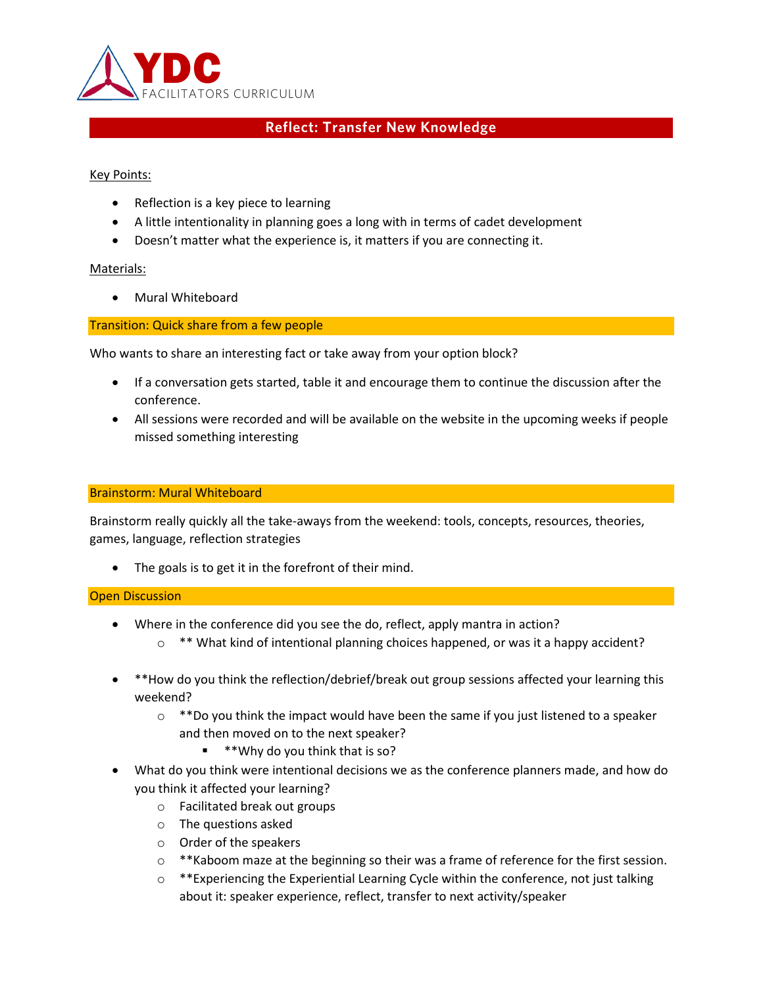

# **Reflect: Transfer New Knowledge**

Key Points:

- Reflection is a key piece to learning
- A little intentionality in planning goes a long with in terms of cadet development
- Doesn't matter what the experience is, it matters if you are connecting it.

## Materials:

• Mural Whiteboard

Transition: Quick share from a few people

Who wants to share an interesting fact or take away from your option block?

- If a conversation gets started, table it and encourage them to continue the discussion after the conference.
- All sessions were recorded and will be available on the website in the upcoming weeks if people missed something interesting

## Brainstorm: Mural Whiteboard

Brainstorm really quickly all the take-aways from the weekend: tools, concepts, resources, theories, games, language, reflection strategies

• The goals is to get it in the forefront of their mind.

## Open Discussion

- Where in the conference did you see the do, reflect, apply mantra in action?
	- $\circ$  \*\* What kind of intentional planning choices happened, or was it a happy accident?
- \*\*How do you think the reflection/debrief/break out group sessions affected your learning this weekend?
	- $\circ$  \*\*Do you think the impact would have been the same if you just listened to a speaker and then moved on to the next speaker?
		- \*\*Why do you think that is so?
- What do you think were intentional decisions we as the conference planners made, and how do you think it affected your learning?
	- o Facilitated break out groups
	- o The questions asked
	- o Order of the speakers
	- $\circ$  \*\*Kaboom maze at the beginning so their was a frame of reference for the first session.
	- $\circ$  \*\*Experiencing the Experiential Learning Cycle within the conference, not just talking about it: speaker experience, reflect, transfer to next activity/speaker